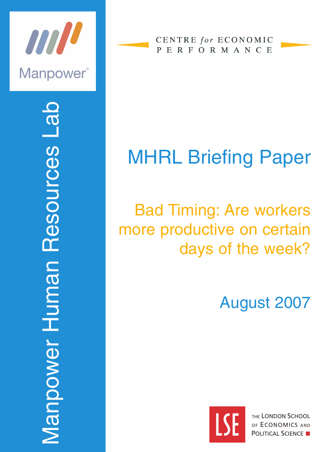

Manpower Human Resources Lab R *Manpower Human Resources* 

**CENTRE** for ECONOMIC PERFORMANCE

# MHRL Briefing Paper

## Bad Timing: Are workers more productive on certain days of the week?

## August 2007



THE LONDON SCHOOL OF ECONOMICS AND **POLITICAL SCIENCE**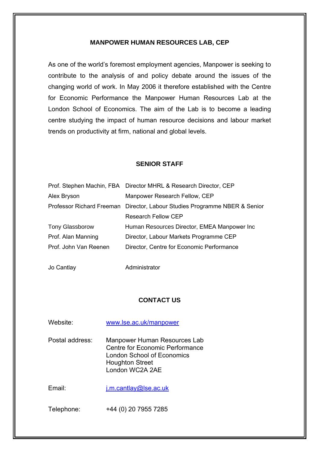#### **MANPOWER HUMAN RESOURCES LAB, CEP**

As one of the world's foremost employment agencies, Manpower is seeking to contribute to the analysis of and policy debate around the issues of the changing world of work. In May 2006 it therefore established with the Centre for Economic Performance the Manpower Human Resources Lab at the London School of Economics. The aim of the Lab is to become a leading centre studying the impact of human resource decisions and labour market trends on productivity at firm, national and global levels.

#### **SENIOR STAFF**

|                        | Prof. Stephen Machin, FBA Director MHRL & Research Director, CEP           |
|------------------------|----------------------------------------------------------------------------|
| Alex Bryson            | Manpower Research Fellow, CEP                                              |
|                        | Professor Richard Freeman Director, Labour Studies Programme NBER & Senior |
|                        | <b>Research Fellow CEP</b>                                                 |
| <b>Tony Glassborow</b> | Human Resources Director, EMEA Manpower Inc                                |
| Prof. Alan Manning     | Director, Labour Markets Programme CEP                                     |
| Prof. John Van Reenen  | Director, Centre for Economic Performance                                  |
|                        |                                                                            |

Jo Cantlay **Administrator** 

#### **CONTACT US**

| Website:        | www.lse.ac.uk/manpower                                                                                                                     |
|-----------------|--------------------------------------------------------------------------------------------------------------------------------------------|
| Postal address: | Manpower Human Resources Lab<br>Centre for Economic Performance<br>London School of Economics<br><b>Houghton Street</b><br>London WC2A 2AE |
| Fmail:          | $i.m. cantlay@$ se.ac.uk                                                                                                                   |
| Telephone:      | +44 (0) 20 7955 7285                                                                                                                       |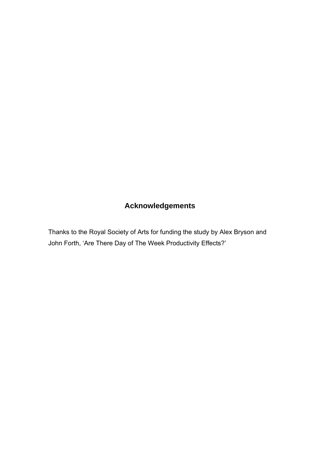## **Acknowledgements**

Thanks to the Royal Society of Arts for funding the study by Alex Bryson and John Forth, 'Are There Day of The Week Productivity Effects?'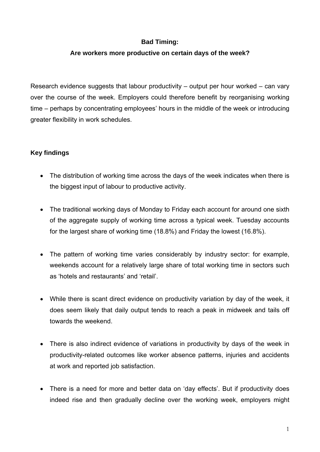## **Bad Timing:**

## **Are workers more productive on certain days of the week?**

Research evidence suggests that labour productivity – output per hour worked – can vary over the course of the week. Employers could therefore benefit by reorganising working time – perhaps by concentrating employees' hours in the middle of the week or introducing greater flexibility in work schedules.

## **Key findings**

- The distribution of working time across the days of the week indicates when there is the biggest input of labour to productive activity.
- The traditional working days of Monday to Friday each account for around one sixth of the aggregate supply of working time across a typical week. Tuesday accounts for the largest share of working time (18.8%) and Friday the lowest (16.8%).
- The pattern of working time varies considerably by industry sector: for example, weekends account for a relatively large share of total working time in sectors such as 'hotels and restaurants' and 'retail'.
- While there is scant direct evidence on productivity variation by day of the week, it does seem likely that daily output tends to reach a peak in midweek and tails off towards the weekend.
- There is also indirect evidence of variations in productivity by days of the week in productivity-related outcomes like worker absence patterns, injuries and accidents at work and reported job satisfaction.
- There is a need for more and better data on 'day effects'. But if productivity does indeed rise and then gradually decline over the working week, employers might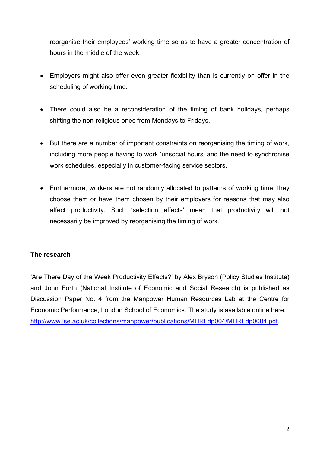reorganise their employees' working time so as to have a greater concentration of hours in the middle of the week.

- Employers might also offer even greater flexibility than is currently on offer in the scheduling of working time.
- There could also be a reconsideration of the timing of bank holidays, perhaps shifting the non-religious ones from Mondays to Fridays.
- But there are a number of important constraints on reorganising the timing of work, including more people having to work 'unsocial hours' and the need to synchronise work schedules, especially in customer-facing service sectors.
- Furthermore, workers are not randomly allocated to patterns of working time: they choose them or have them chosen by their employers for reasons that may also affect productivity. Such 'selection effects' mean that productivity will not necessarily be improved by reorganising the timing of work.

## **The research**

'Are There Day of the Week Productivity Effects?' by Alex Bryson (Policy Studies Institute) and John Forth (National Institute of Economic and Social Research) is published as Discussion Paper No. 4 from the Manpower Human Resources Lab at the Centre for Economic Performance, London School of Economics. The study is available online here: [http://www.lse.ac.uk/collections/manpower/publications/MHRLdp004/MHRLdp0004.pdf.](http://www.lse.ac.uk/collections/manpower/publications/MHRLdp004/MHRLdp0004.pdf)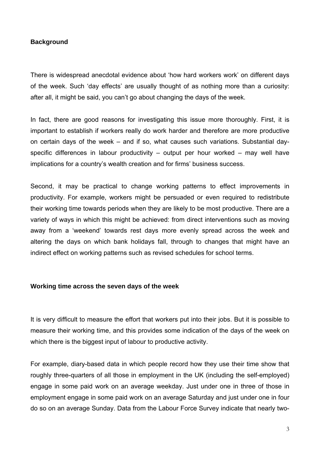#### **Background**

There is widespread anecdotal evidence about 'how hard workers work' on different days of the week. Such 'day effects' are usually thought of as nothing more than a curiosity: after all, it might be said, you can't go about changing the days of the week.

In fact, there are good reasons for investigating this issue more thoroughly. First, it is important to establish if workers really do work harder and therefore are more productive on certain days of the week – and if so, what causes such variations. Substantial dayspecific differences in labour productivity – output per hour worked – may well have implications for a country's wealth creation and for firms' business success.

Second, it may be practical to change working patterns to effect improvements in productivity. For example, workers might be persuaded or even required to redistribute their working time towards periods when they are likely to be most productive. There are a variety of ways in which this might be achieved: from direct interventions such as moving away from a 'weekend' towards rest days more evenly spread across the week and altering the days on which bank holidays fall, through to changes that might have an indirect effect on working patterns such as revised schedules for school terms.

#### **Working time across the seven days of the week**

It is very difficult to measure the effort that workers put into their jobs. But it is possible to measure their working time, and this provides some indication of the days of the week on which there is the biggest input of labour to productive activity.

For example, diary-based data in which people record how they use their time show that roughly three-quarters of all those in employment in the UK (including the self-employed) engage in some paid work on an average weekday. Just under one in three of those in employment engage in some paid work on an average Saturday and just under one in four do so on an average Sunday. Data from the Labour Force Survey indicate that nearly two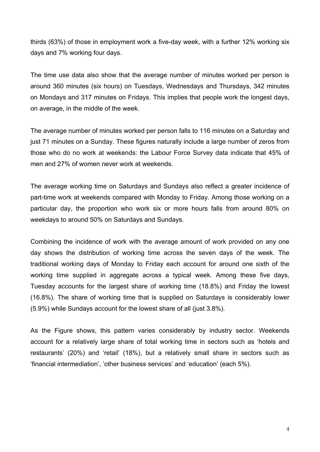thirds (63%) of those in employment work a five-day week, with a further 12% working six days and 7% working four days.

The time use data also show that the average number of minutes worked per person is around 360 minutes (six hours) on Tuesdays, Wednesdays and Thursdays, 342 minutes on Mondays and 317 minutes on Fridays. This implies that people work the longest days, on average, in the middle of the week.

The average number of minutes worked per person falls to 116 minutes on a Saturday and just 71 minutes on a Sunday. These figures naturally include a large number of zeros from those who do no work at weekends: the Labour Force Survey data indicate that 45% of men and 27% of women never work at weekends.

The average working time on Saturdays and Sundays also reflect a greater incidence of part-time work at weekends compared with Monday to Friday. Among those working on a particular day, the proportion who work six or more hours falls from around 80% on weekdays to around 50% on Saturdays and Sundays.

Combining the incidence of work with the average amount of work provided on any one day shows the distribution of working time across the seven days of the week. The traditional working days of Monday to Friday each account for around one sixth of the working time supplied in aggregate across a typical week. Among these five days, Tuesday accounts for the largest share of working time (18.8%) and Friday the lowest (16.8%). The share of working time that is supplied on Saturdays is considerably lower (5.9%) while Sundays account for the lowest share of all (just 3.8%).

As the Figure shows, this pattern varies considerably by industry sector. Weekends account for a relatively large share of total working time in sectors such as 'hotels and restaurants' (20%) and 'retail' (18%), but a relatively small share in sectors such as 'financial intermediation', 'other business services' and 'education' (each 5%).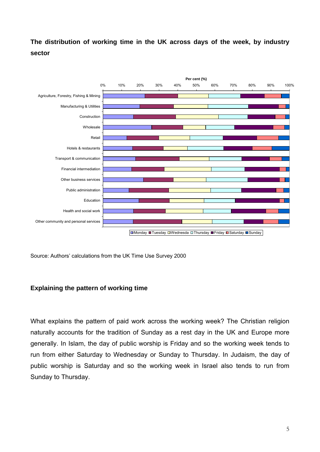**The distribution of working time in the UK across days of the week, by industry sector** 



Source: Authors' calculations from the UK Time Use Survey 2000

#### **Explaining the pattern of working time**

What explains the pattern of paid work across the working week? The Christian religion naturally accounts for the tradition of Sunday as a rest day in the UK and Europe more generally. In Islam, the day of public worship is Friday and so the working week tends to run from either Saturday to Wednesday or Sunday to Thursday. In Judaism, the day of public worship is Saturday and so the working week in Israel also tends to run from Sunday to Thursday.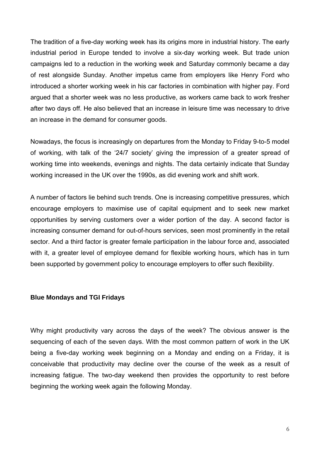The tradition of a five-day working week has its origins more in industrial history. The early industrial period in Europe tended to involve a six-day working week. But trade union campaigns led to a reduction in the working week and Saturday commonly became a day of rest alongside Sunday. Another impetus came from employers like Henry Ford who introduced a shorter working week in his car factories in combination with higher pay. Ford argued that a shorter week was no less productive, as workers came back to work fresher after two days off. He also believed that an increase in leisure time was necessary to drive an increase in the demand for consumer goods.

of working, with talk of the '24/7 society' giving the impression of a greater spread of working time into weekends, evenings and nights. The data certainly indicate that Sunday Nowadays, the focus is increasingly on departures from the Monday to Friday 9-to-5 model working increased in the UK over the 1990s, as did evening work and shift work.

sector. And a third factor is greater female participation in the labour force and, associated with it, a greater level of employee demand for flexible working hours, which has in turn been supported by government policy to encourage employers to offer such flexibility. A number of factors lie behind such trends. One is increasing competitive pressures, which encourage employers to maximise use of capital equipment and to seek new market opportunities by serving customers over a wider portion of the day. A second factor is increasing consumer demand for out-of-hours services, seen most prominently in the retail

#### **Blue Mondays and TGI Fridays**

conceivable that productivity may decline over the course of the week as a result of increasing fatigue. The two-day weekend then provides the opportunity to rest before Why might productivity vary across the days of the week? The obvious answer is the sequencing of each of the seven days. With the most common pattern of work in the UK being a five-day working week beginning on a Monday and ending on a Friday, it is beginning the working week again the following Monday.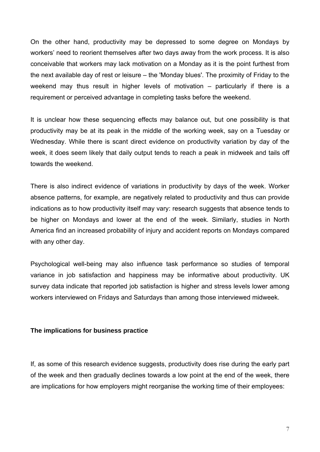On the other hand, productivity may be depressed to some degree on Mondays by workers' need to reorient themselves after two days away from the work process. It is also conceivable that workers may lack motivation on a Monday as it is the point furthest from the next available day of rest or leisure – the 'Monday blues'. The proximity of Friday to the weekend may thus result in higher levels of motivation – particularly if there is a requirement or perceived advantage in completing tasks before the weekend.

productivity may be at its peak in the middle of the working week, say on a Tuesday or Wednesday. While there is scant direct evidence on productivity variation by day of the It is unclear how these sequencing effects may balance out, but one possibility is that week, it does seem likely that daily output tends to reach a peak in midweek and tails off towards the weekend.

indications as to how productivity itself may vary: research suggests that absence tends to be higher on Mondays and lower at the end of the week. Similarly, studies in North There is also indirect evidence of variations in productivity by days of the week. Worker absence patterns, for example, are negatively related to productivity and thus can provide America find an increased probability of injury and accident reports on Mondays compared with any other day.

Psychological well-being may also influence task performance so studies of temporal variance in job satisfaction and happiness may be informative about productivity. UK survey data indicate that reported job satisfaction is higher and stress levels lower among workers interviewed on Fridays and Saturdays than among those interviewed midweek.

#### **The implications for business practice**

If, as some of this research evidence suggests, productivity does rise during the early part of the week and then gradually declines towards a low point at the end of the week, there are implications for how employers might reorganise the working time of their employees: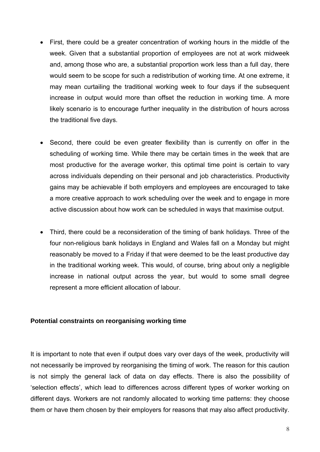- First, there could be a greater concentration of working hours in the middle of the week. Given that a substantial proportion of employees are not at work midweek and, among those who are, a substantial proportion work less than a full day, there would seem to be scope for such a redistribution of working time. At one extreme, it may mean curtailing the traditional working week to four days if the subsequent increase in output would more than offset the reduction in working time. A more likely scenario is to encourage further inequality in the distribution of hours across the traditional five days.
- across individuals depending on their personal and job characteristics. Productivity • Second, there could be even greater flexibility than is currently on offer in the scheduling of working time. While there may be certain times in the week that are most productive for the average worker, this optimal time point is certain to vary gains may be achievable if both employers and employees are encouraged to take a more creative approach to work scheduling over the week and to engage in more active discussion about how work can be scheduled in ways that maximise output.
- four non-religious bank holidays in England and Wales fall on a Monday but might reasonably be moved to a Friday if that were deemed to be the least productive day in the traditional working week. This would, of course, bring about only a negligible increase in national output across the year, but would to some small degree represent a more efficient allocation of labour. • Third, there could be a reconsideration of the timing of bank holidays. Three of the

#### **Potential constraints on reorganising working time**

is not simply the general lack of data on day effects. There is also the possibility of It is important to note that even if output does vary over days of the week, productivity will not necessarily be improved by reorganising the timing of work. The reason for this caution 'selection effects', which lead to differences across different types of worker working on different days. Workers are not randomly allocated to working time patterns: they choose them or have them chosen by their employers for reasons that may also affect productivity.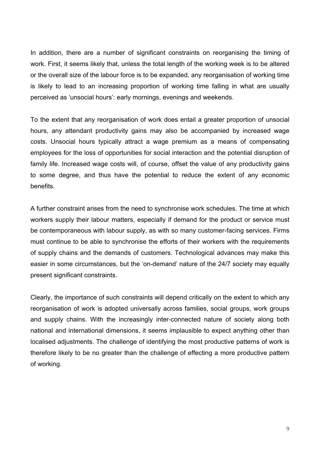In addition, there are a number of significant constraints on reorganising the timing of work. First, it seems likely that, unless the total length of the working week is to be altered or the overall size of the labour force is to be expanded, any reorganisation of working time is likely to lead to an increasing proportion of working time falling in what are usually perceived as 'unsocial hours': early mornings, evenings and weekends.

costs. Unsocial hours typically attract a wage premium as a means of compensating employees for the loss of opportunities for social interaction and the potential disruption of To the extent that any reorganisation of work does entail a greater proportion of unsocial hours, any attendant productivity gains may also be accompanied by increased wage family life. Increased wage costs will, of course, offset the value of any productivity gains to some degree, and thus have the potential to reduce the extent of any economic benefits.

be contemporaneous with labour supply, as with so many customer-facing services. Firms must continue to be able to synchronise the efforts of their workers with the requirements A further constraint arises from the need to synchronise work schedules. The time at which workers supply their labour matters, especially if demand for the product or service must of supply chains and the demands of customers. Technological advances may make this easier in some circumstances, but the 'on-demand' nature of the 24/7 society may equally present significant constraints.

and supply chains. With the increasingly inter-connected nature of society along both ational and international dimensions, it seems implausible to expect anything other than n localised adjustments. The challenge of identifying the most productive patterns of work is therefore likely to be no greater than the challenge of effecting a more productive pattern of working. Clearly, the importance of such constraints will depend critically on the extent to which any reorganisation of work is adopted universally across families, social groups, work groups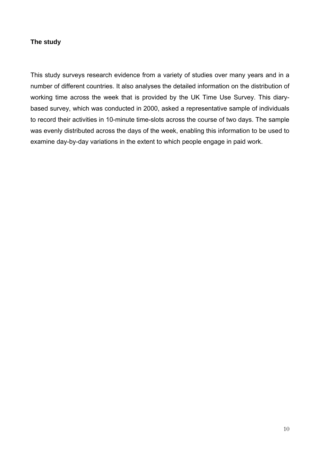## **The study**

based survey, which was conducted in 2000, asked a representative sample of individuals to record their activities in 10-minute time-slots across the course of two days. The sample was evenly distributed across the days of the week, enabling this information to be used to examine day-by-day variations in the extent to which people engage in paid work. This study surveys research evidence from a variety of studies over many years and in a number of different countries. It also analyses the detailed information on the distribution of working time across the week that is provided by the UK Time Use Survey. This diary-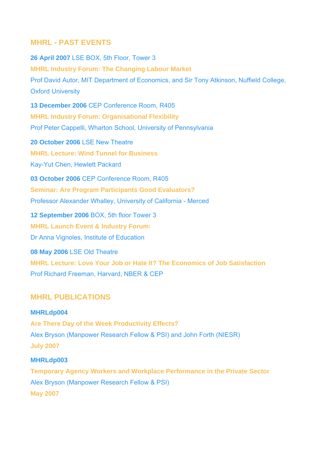## **MHRL - PAST EVENTS**

**26 April 2007** LSE BOX, 5th Floor, Tower 3 **MHRL Industry Forum: The Changing Labour Market** Prof David Autor, MIT Department of Economics, and Sir Tony Atkinson, Nuffield College, Oxford University **13 December 2006** CEP Conference Room, R405 **MHRL Industry Forum: Organisational Flexibility** Prof Peter Cappelli, Wharton School, University of Pennsylvania **20 October 2006** LSE New Theatre **MHRL Lecture: Wind Tunnel for Business** Kay-Yut Chen, Hewlett Packard **03 October 2006** CEP Conference Room, R405 **Seminar: Are Program Participants Good Evaluators?** Professor Alexander Whalley, University of California - Merced **12 September 2006** BOX, 5th floor Tower 3 **MHRL Launch Event & Industry Forum:** Dr Anna Vignoles, Institute of Education **08 May 2006** LSE Old Theatre **MHRL Lecture: Love Your Job or Hate It? The Economics of Job Satisfaction** Prof Richard Freeman, Harvard, NBER & CEP

## **MHRL PUBLICATIONS**

## **MHRLdp004**

**Are There Day of the Week Productivity Effects?** Alex Bryson (Manpower Research Fellow & PSI) and John Forth (NIESR) **July 2007**

## **MHRLdp003**

**Temporary Agency Workers and Workplace Performance in the Private Sector** Alex Bryson (Manpower Research Fellow & PSI) **May 2007**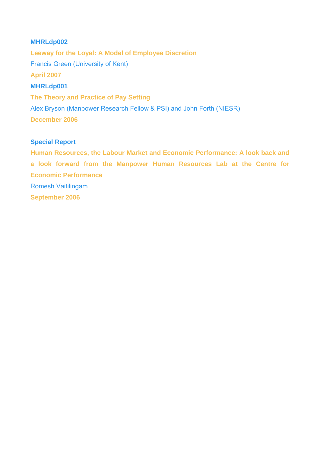## **MHRLdp002**

**Leeway for the Loyal: A Model of Employee Discretion** Francis Green (University of Kent) **April 2007 MHRLdp001 The Theory and Practice of Pay Setting** Alex Bryson (Manpower Research Fellow & PSI) and John Forth (NIESR) **December 2006**

#### **Special Report**

**Human Resources, the Labour Market and Economic Performance: A look back and a look forward from the Manpower Human Resources Lab at the Centre for Economic Performance**  Romesh Vaitilingam **September 2006**